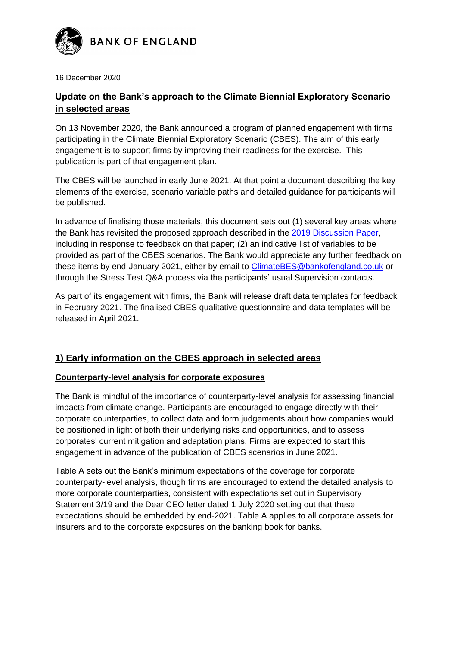

16 December 2020

# **Update on the Bank's approach to the Climate Biennial Exploratory Scenario in selected areas**

On 13 November 2020, the Bank announced a program of planned engagement with firms participating in the Climate Biennial Exploratory Scenario (CBES). The aim of this early engagement is to support firms by improving their readiness for the exercise. This publication is part of that engagement plan.

The CBES will be launched in early June 2021. At that point a document describing the key elements of the exercise, scenario variable paths and detailed guidance for participants will be published.

In advance of finalising those materials, this document sets out (1) several key areas where the Bank has revisited the proposed approach described in the [2019 Discussion Paper,](https://www.bankofengland.co.uk/-/media/boe/files/paper/2019/the-2021-biennial-exploratory-scenario-on-the-financial-risks-from-climate-change.pdf) including in response to feedback on that paper; (2) an indicative list of variables to be provided as part of the CBES scenarios. The Bank would appreciate any further feedback on these items by end-January 2021, either by email to [ClimateBES@bankofengland.co.uk](mailto:ClimateBES@bankofengland.co.uk) or through the Stress Test Q&A process via the participants' usual Supervision contacts.

As part of its engagement with firms, the Bank will release draft data templates for feedback in February 2021. The finalised CBES qualitative questionnaire and data templates will be released in April 2021.

# **1) Early information on the CBES approach in selected areas**

## **Counterparty-level analysis for corporate exposures**

The Bank is mindful of the importance of counterparty-level analysis for assessing financial impacts from climate change. Participants are encouraged to engage directly with their corporate counterparties, to collect data and form judgements about how companies would be positioned in light of both their underlying risks and opportunities, and to assess corporates' current mitigation and adaptation plans. Firms are expected to start this engagement in advance of the publication of CBES scenarios in June 2021.

Table A sets out the Bank's minimum expectations of the coverage for corporate counterparty-level analysis, though firms are encouraged to extend the detailed analysis to more corporate counterparties, consistent with expectations set out in Supervisory Statement 3/19 and the Dear CEO letter dated 1 July 2020 setting out that these expectations should be embedded by end-2021. Table A applies to all corporate assets for insurers and to the corporate exposures on the banking book for banks.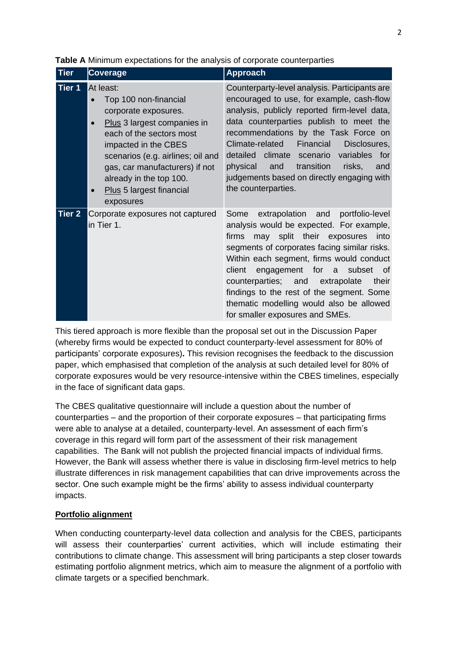| <b>Tier</b>   | <b>Coverage</b>                                                                                                                                                                                                                                                                                       | <b>Approach</b>                                                                                                                                                                                                                                                                                                                                                                                                                                    |
|---------------|-------------------------------------------------------------------------------------------------------------------------------------------------------------------------------------------------------------------------------------------------------------------------------------------------------|----------------------------------------------------------------------------------------------------------------------------------------------------------------------------------------------------------------------------------------------------------------------------------------------------------------------------------------------------------------------------------------------------------------------------------------------------|
| <b>Tier 1</b> | At least:<br>Top 100 non-financial<br>corporate exposures.<br>Plus 3 largest companies in<br>$\bullet$<br>each of the sectors most<br>impacted in the CBES<br>scenarios (e.g. airlines; oil and<br>gas, car manufacturers) if not<br>already in the top 100.<br>Plus 5 largest financial<br>exposures | Counterparty-level analysis. Participants are<br>encouraged to use, for example, cash-flow<br>analysis, publicly reported firm-level data,<br>data counterparties publish to meet the<br>recommendations by the Task Force on<br>Climate-related<br>Financial<br>Disclosures,<br>climate scenario variables for<br>detailed<br>transition<br>and<br>risks,<br>physical<br>and<br>judgements based on directly engaging with<br>the counterparties. |
| Tier 2        | Corporate exposures not captured<br>in Tier 1.                                                                                                                                                                                                                                                        | extrapolation and portfolio-level<br>Some<br>analysis would be expected. For example,<br>may split their exposures into<br>firms<br>segments of corporates facing similar risks.<br>Within each segment, firms would conduct<br>engagement for a<br>subset<br>client<br>of<br>counterparties; and extrapolate<br>their<br>findings to the rest of the segment. Some<br>thematic modelling would also be allowed<br>for smaller exposures and SMEs. |

|  |  |  |  | Table A Minimum expectations for the analysis of corporate counterparties |
|--|--|--|--|---------------------------------------------------------------------------|
|--|--|--|--|---------------------------------------------------------------------------|

This tiered approach is more flexible than the proposal set out in the Discussion Paper (whereby firms would be expected to conduct counterparty‑level assessment for 80% of participants' corporate exposures)**.** This revision recognises the feedback to the discussion paper, which emphasised that completion of the analysis at such detailed level for 80% of corporate exposures would be very resource-intensive within the CBES timelines, especially in the face of significant data gaps.

The CBES qualitative questionnaire will include a question about the number of counterparties – and the proportion of their corporate exposures – that participating firms were able to analyse at a detailed, counterparty-level. An assessment of each firm's coverage in this regard will form part of the assessment of their risk management capabilities. The Bank will not publish the projected financial impacts of individual firms. However, the Bank will assess whether there is value in disclosing firm-level metrics to help illustrate differences in risk management capabilities that can drive improvements across the sector. One such example might be the firms' ability to assess individual counterparty impacts.

## **Portfolio alignment**

When conducting counterparty-level data collection and analysis for the CBES, participants will assess their counterparties' current activities, which will include estimating their contributions to climate change. This assessment will bring participants a step closer towards estimating portfolio alignment metrics, which aim to measure the alignment of a portfolio with climate targets or a specified benchmark.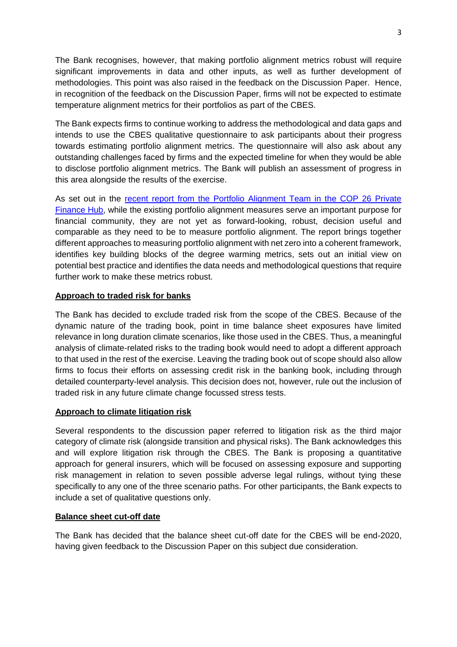The Bank recognises, however, that making portfolio alignment metrics robust will require significant improvements in data and other inputs, as well as further development of methodologies. This point was also raised in the feedback on the Discussion Paper. Hence, in recognition of the feedback on the Discussion Paper, firms will not be expected to estimate temperature alignment metrics for their portfolios as part of the CBES.

The Bank expects firms to continue working to address the methodological and data gaps and intends to use the CBES qualitative questionnaire to ask participants about their progress towards estimating portfolio alignment metrics. The questionnaire will also ask about any outstanding challenges faced by firms and the expected timeline for when they would be able to disclose portfolio alignment metrics. The Bank will publish an assessment of progress in this area alongside the results of the exercise.

As set out in the [recent report from the Portfolio Alignment Team in the COP 26 Private](https://www.tcfdhub.org/mwg-internal/de5fs23hu73ds/progress?id=Rhhwo_p3tmHapHaR8Yvnta478TZWSAmS0xtbphEDu2s,&dl)  [Finance Hub,](https://www.tcfdhub.org/mwg-internal/de5fs23hu73ds/progress?id=Rhhwo_p3tmHapHaR8Yvnta478TZWSAmS0xtbphEDu2s,&dl) while the existing portfolio alignment measures serve an important purpose for financial community, they are not yet as forward-looking, robust, decision useful and comparable as they need to be to measure portfolio alignment. The report brings together different approaches to measuring portfolio alignment with net zero into a coherent framework, identifies key building blocks of the degree warming metrics, sets out an initial view on potential best practice and identifies the data needs and methodological questions that require further work to make these metrics robust.

## **Approach to traded risk for banks**

The Bank has decided to exclude traded risk from the scope of the CBES. Because of the dynamic nature of the trading book, point in time balance sheet exposures have limited relevance in long duration climate scenarios, like those used in the CBES. Thus, a meaningful analysis of climate-related risks to the trading book would need to adopt a different approach to that used in the rest of the exercise. Leaving the trading book out of scope should also allow firms to focus their efforts on assessing credit risk in the banking book, including through detailed counterparty-level analysis. This decision does not, however, rule out the inclusion of traded risk in any future climate change focussed stress tests.

## **Approach to climate litigation risk**

Several respondents to the discussion paper referred to litigation risk as the third major category of climate risk (alongside transition and physical risks). The Bank acknowledges this and will explore litigation risk through the CBES. The Bank is proposing a quantitative approach for general insurers, which will be focused on assessing exposure and supporting risk management in relation to seven possible adverse legal rulings, without tying these specifically to any one of the three scenario paths. For other participants, the Bank expects to include a set of qualitative questions only.

## **Balance sheet cut-off date**

The Bank has decided that the balance sheet cut-off date for the CBES will be end-2020, having given feedback to the Discussion Paper on this subject due consideration.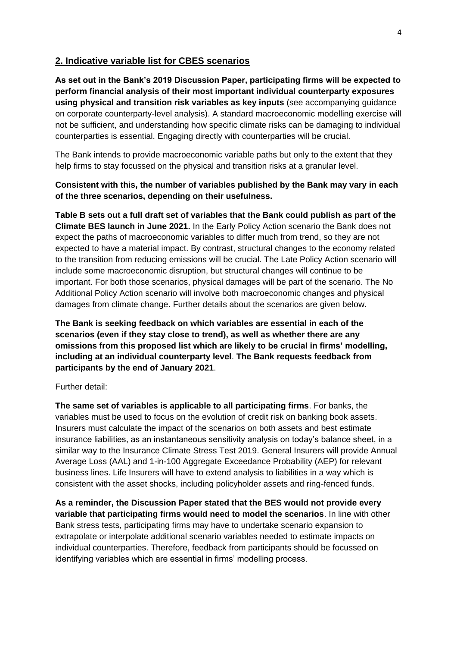## **2. Indicative variable list for CBES scenarios**

**As set out in the Bank's 2019 Discussion Paper, participating firms will be expected to perform financial analysis of their most important individual counterparty exposures using physical and transition risk variables as key inputs** (see accompanying guidance on corporate counterparty-level analysis). A standard macroeconomic modelling exercise will not be sufficient, and understanding how specific climate risks can be damaging to individual counterparties is essential. Engaging directly with counterparties will be crucial.

The Bank intends to provide macroeconomic variable paths but only to the extent that they help firms to stay focussed on the physical and transition risks at a granular level.

## **Consistent with this, the number of variables published by the Bank may vary in each of the three scenarios, depending on their usefulness.**

**Table B sets out a full draft set of variables that the Bank could publish as part of the Climate BES launch in June 2021.** In the Early Policy Action scenario the Bank does not expect the paths of macroeconomic variables to differ much from trend, so they are not expected to have a material impact. By contrast, structural changes to the economy related to the transition from reducing emissions will be crucial. The Late Policy Action scenario will include some macroeconomic disruption, but structural changes will continue to be important. For both those scenarios, physical damages will be part of the scenario. The No Additional Policy Action scenario will involve both macroeconomic changes and physical damages from climate change. Further details about the scenarios are given below.

**The Bank is seeking feedback on which variables are essential in each of the scenarios (even if they stay close to trend), as well as whether there are any omissions from this proposed list which are likely to be crucial in firms' modelling, including at an individual counterparty level**. **The Bank requests feedback from participants by the end of January 2021**.

#### Further detail:

**The same set of variables is applicable to all participating firms**. For banks, the variables must be used to focus on the evolution of credit risk on banking book assets. Insurers must calculate the impact of the scenarios on both assets and best estimate insurance liabilities, as an instantaneous sensitivity analysis on today's balance sheet, in a similar way to the Insurance Climate Stress Test 2019. General Insurers will provide Annual Average Loss (AAL) and 1-in-100 Aggregate Exceedance Probability (AEP) for relevant business lines. Life Insurers will have to extend analysis to liabilities in a way which is consistent with the asset shocks, including policyholder assets and ring-fenced funds.

**As a reminder, the Discussion Paper stated that the BES would not provide every variable that participating firms would need to model the scenarios**. In line with other Bank stress tests, participating firms may have to undertake scenario expansion to extrapolate or interpolate additional scenario variables needed to estimate impacts on individual counterparties. Therefore, feedback from participants should be focussed on identifying variables which are essential in firms' modelling process.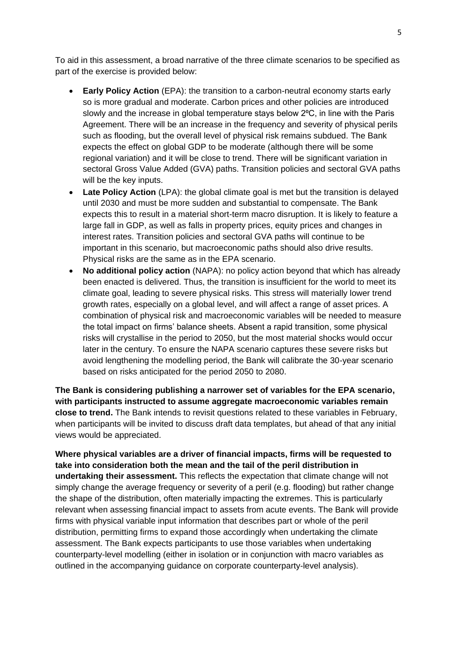To aid in this assessment, a broad narrative of the three climate scenarios to be specified as part of the exercise is provided below:

- **Early Policy Action** (EPA): the transition to a carbon-neutral economy starts early so is more gradual and moderate. Carbon prices and other policies are introduced slowly and the increase in global temperature stays below 2°C, in line with the Paris Agreement. There will be an increase in the frequency and severity of physical perils such as flooding, but the overall level of physical risk remains subdued. The Bank expects the effect on global GDP to be moderate (although there will be some regional variation) and it will be close to trend. There will be significant variation in sectoral Gross Value Added (GVA) paths. Transition policies and sectoral GVA paths will be the key inputs.
- Late Policy Action (LPA): the global climate goal is met but the transition is delayed until 2030 and must be more sudden and substantial to compensate. The Bank expects this to result in a material short-term macro disruption. It is likely to feature a large fall in GDP, as well as falls in property prices, equity prices and changes in interest rates. Transition policies and sectoral GVA paths will continue to be important in this scenario, but macroeconomic paths should also drive results. Physical risks are the same as in the EPA scenario.
- **No additional policy action** (NAPA): no policy action beyond that which has already been enacted is delivered. Thus, the transition is insufficient for the world to meet its climate goal, leading to severe physical risks. This stress will materially lower trend growth rates, especially on a global level, and will affect a range of asset prices. A combination of physical risk and macroeconomic variables will be needed to measure the total impact on firms' balance sheets. Absent a rapid transition, some physical risks will crystallise in the period to 2050, but the most material shocks would occur later in the century. To ensure the NAPA scenario captures these severe risks but avoid lengthening the modelling period, the Bank will calibrate the 30-year scenario based on risks anticipated for the period 2050 to 2080.

**The Bank is considering publishing a narrower set of variables for the EPA scenario, with participants instructed to assume aggregate macroeconomic variables remain close to trend.** The Bank intends to revisit questions related to these variables in February, when participants will be invited to discuss draft data templates, but ahead of that any initial views would be appreciated.

**Where physical variables are a driver of financial impacts, firms will be requested to take into consideration both the mean and the tail of the peril distribution in undertaking their assessment.** This reflects the expectation that climate change will not simply change the average frequency or severity of a peril (e.g. flooding) but rather change the shape of the distribution, often materially impacting the extremes. This is particularly relevant when assessing financial impact to assets from acute events. The Bank will provide firms with physical variable input information that describes part or whole of the peril distribution, permitting firms to expand those accordingly when undertaking the climate assessment. The Bank expects participants to use those variables when undertaking counterparty-level modelling (either in isolation or in conjunction with macro variables as outlined in the accompanying guidance on corporate counterparty-level analysis).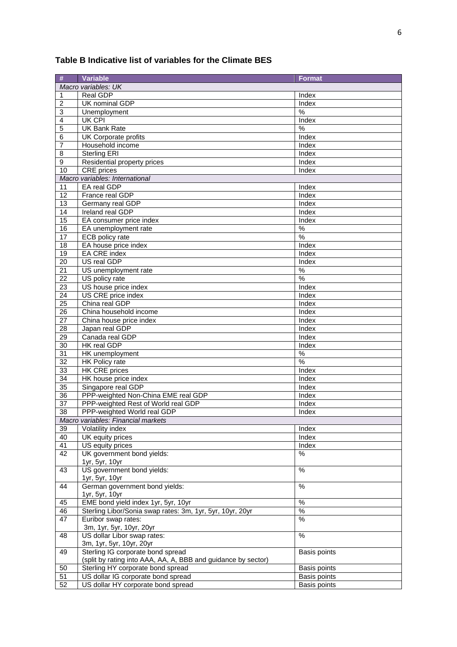#### **# Variable Format** *Macro variables: UK* 1 Real GDP Index 2 UK nominal GDP Index 3 Unemployment  $\frac{1}{8}$ 4 UK CPI Index 5 UK Bank Rate  $\frac{1}{8}$ 6 UK Corporate profits and index 7 Household income 8 Sterling ERI Index 9 Residential property prices Index 10 CRE prices and the contract of the contract of the contract of the contract of the contract of the contract of the contract of the contract of the contract of the contract of the contract of the contract of the contract *Macro variables: International* 11 EA real GDP **Index** 12 France real GDP Index 13 Germany real GDP Index 14 Ireland real GDP Index 15 EA consumer price index Index Index 16 | EA unemployment rate  $\vert\%$ 17 ECB policy rate  $\frac{1}{2}$ 18 EA house price index Index 19 EA CRE index index index 20 US real GDP **Index** 21 US unemployment rate % 22 US policy rate % 23 | US house price index | Index 24 US CRE price index Index 25 China real GDP Index 26 China household income Index<br>27 China house price index Index Index **27 China house price index Index** Index 28 Japan real GDP Index 29 Canada real GDP Index 30 | HK real GDP | Index 31 | HK unemployment | % 32 HK Policy rate  $\sim$  1998 Section 1.1 and 1.1 and 1.1 and 1.1 and 1.1 and 1.1 and 1.1 and 1.1 and 1.1 and 1.1 and 1.1 and 1.1 and 1.1 and 1.1 and 1.1 and 1.1 and 1.1 and 1.1 and 1.1 and 1.1 and 1.1 and 1.1 and 1.1 and 1. 33 | HK CRE prices | Index 34 | HK house price index Index 35 Singapore real GDP Index 36 PPP-weighted Non-China EME real GDP | Index 37 PPP-weighted Rest of World real GDP 38 PPP-weighted World real GDP | Index *Macro variables: Financial markets* 39 Volatility index Index 40 UK equity prices and the set of the set of the set of the set of the set of the set of the set of the set of the set of the set of the set of the set of the set of the set of the set of the set of the set of the set of US equity prices and the state of the state of the state of the state of the state of the state of the state of the state of the state of the state of the state of the state of the state of the state of the state of the st 42 UK government bond yields: 1yr, 5yr, 10yr  $\frac{0}{6}$ 43 US government bond yields: 1yr, 5yr, 10yr  $\frac{0}{0}$ 44 German government bond yields: 1yr, 5yr, 10yr  $\frac{1}{2}$ 45 EME bond yield index 1yr, 5yr, 10yr % 46 Sterling Libor/Sonia swap rates: 3m, 1yr, 5yr, 10yr, 20yr % 47 Euribor swap rates: 3m, 1yr, 5yr, 10yr, 20yr % 48 US dollar Libor swap rates: 3m, 1yr, 5yr, 10yr, 20yr  $\frac{0}{6}$ 49 Sterling IG corporate bond spread (split by rating into AAA, AA, A, BBB and guidance by sector) Basis points 50 Sterling HY corporate bond spread 51 US dollar IG corporate bond spread Basis points<br>52 US dollar HY corporate bond spread Basis points US dollar HY corporate bond spread

#### **Table B Indicative list of variables for the Climate BES**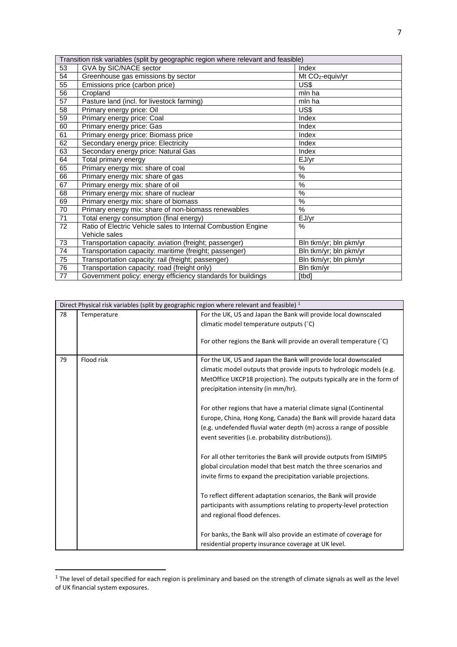| Transition risk variables (split by geographic region where relevant and feasible) |                                                               |                        |
|------------------------------------------------------------------------------------|---------------------------------------------------------------|------------------------|
| 53                                                                                 | GVA by SIC/NACE sector                                        | Index                  |
| 54                                                                                 | Greenhouse gas emissions by sector                            | Mt $CO2$ -equiv/yr     |
| 55                                                                                 | Emissions price (carbon price)                                | US\$                   |
| 56                                                                                 | Cropland                                                      | mln ha                 |
| $\overline{57}$                                                                    | Pasture land (incl. for livestock farming)                    | mln ha                 |
| 58                                                                                 | Primary energy price: Oil                                     | US\$                   |
| 59                                                                                 | Primary energy price: Coal                                    | Index                  |
| 60                                                                                 | Primary energy price: Gas                                     | Index                  |
| 61                                                                                 | Primary energy price: Biomass price                           | Index                  |
| 62                                                                                 | Secondary energy price: Electricity                           | Index                  |
| 63                                                                                 | Secondary energy price: Natural Gas                           | Index                  |
| 64                                                                                 | Total primary energy                                          | EJ/yr                  |
| 65                                                                                 | Primary energy mix: share of coal                             | %                      |
| 66                                                                                 | Primary energy mix: share of gas                              | $\frac{9}{6}$          |
| 67                                                                                 | Primary energy mix: share of oil                              | $\frac{0}{0}$          |
| 68                                                                                 | Primary energy mix: share of nuclear                          | $\%$                   |
| 69                                                                                 | Primary energy mix: share of biomass                          | $\frac{0}{0}$          |
| 70                                                                                 | Primary energy mix: share of non-biomass renewables           | %                      |
| 71                                                                                 | Total energy consumption (final energy)                       | EJ/yr                  |
| 72                                                                                 | Ratio of Electric Vehicle sales to Internal Combustion Engine | $\%$                   |
|                                                                                    | Vehicle sales                                                 |                        |
| 73                                                                                 | Transportation capacity: aviation (freight; passenger)        | Bln tkm/yr; bln pkm/yr |
| 74                                                                                 | Transportation capacity: maritime (freight; passenger)        | Bln tkm/yr; bln pkm/yr |
| 75                                                                                 | Transportation capacity: rail (freight; passenger)            | Bln tkm/yr; bln pkm/yr |
| 76                                                                                 | Transportation capacity: road (freight only)                  | Bln tkm/yr             |
| 77                                                                                 | Government policy: energy efficiency standards for buildings  | [tbd]                  |

| Direct Physical risk variables (split by geographic region where relevant and feasible) $1$ |             |                                                                                                               |
|---------------------------------------------------------------------------------------------|-------------|---------------------------------------------------------------------------------------------------------------|
| 78                                                                                          | Temperature | For the UK, US and Japan the Bank will provide local downscaled                                               |
|                                                                                             |             | climatic model temperature outputs (°C)                                                                       |
|                                                                                             |             | For other regions the Bank will provide an overall temperature (°C)                                           |
| 79                                                                                          | Flood risk  | For the UK, US and Japan the Bank will provide local downscaled                                               |
|                                                                                             |             | climatic model outputs that provide inputs to hydrologic models (e.g.                                         |
|                                                                                             |             | MetOffice UKCP18 projection). The outputs typically are in the form of<br>precipitation intensity (in mm/hr). |
|                                                                                             |             | For other regions that have a material climate signal (Continental                                            |
|                                                                                             |             | Europe, China, Hong Kong, Canada) the Bank will provide hazard data                                           |
|                                                                                             |             | (e.g. undefended fluvial water depth (m) across a range of possible                                           |
|                                                                                             |             | event severities (i.e. probability distributions)).                                                           |
|                                                                                             |             | For all other territories the Bank will provide outputs from ISIMIP5                                          |
|                                                                                             |             | global circulation model that best match the three scenarios and                                              |
|                                                                                             |             | invite firms to expand the precipitation variable projections.                                                |
|                                                                                             |             | To reflect different adaptation scenarios, the Bank will provide                                              |
|                                                                                             |             | participants with assumptions relating to property-level protection                                           |
|                                                                                             |             | and regional flood defences.                                                                                  |
|                                                                                             |             | For banks, the Bank will also provide an estimate of coverage for                                             |
|                                                                                             |             | residential property insurance coverage at UK level.                                                          |

 1 The level of detail specified for each region is preliminary and based on the strength of climate signals as well as the level of UK financial system exposures.